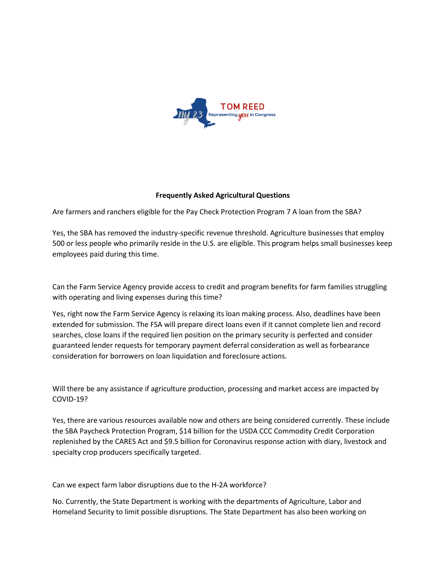

## **Frequently Asked Agricultural Questions**

Are farmers and ranchers eligible for the Pay Check Protection Program 7 A loan from the SBA?

Yes, the SBA has removed the industry-specific revenue threshold. Agriculture businesses that employ 500 or less people who primarily reside in the U.S. are eligible. This program helps small businesses keep employees paid during this time.

Can the Farm Service Agency provide access to credit and program benefits for farm families struggling with operating and living expenses during this time?

Yes, right now the Farm Service Agency is relaxing its loan making process. Also, deadlines have been extended for submission. The FSA will prepare direct loans even if it cannot complete lien and record searches, close loans if the required lien position on the primary security is perfected and consider guaranteed lender requests for temporary payment deferral consideration as well as forbearance consideration for borrowers on loan liquidation and foreclosure actions.

Will there be any assistance if agriculture production, processing and market access are impacted by COVID-19?

Yes, there are various resources available now and others are being considered currently. These include the SBA Paycheck Protection Program, \$14 billion for the USDA CCC Commodity Credit Corporation replenished by the CARES Act and \$9.5 billion for Coronavirus response action with diary, livestock and specialty crop producers specifically targeted.

Can we expect farm labor disruptions due to the H-2A workforce?

No. Currently, the State Department is working with the departments of Agriculture, Labor and Homeland Security to limit possible disruptions. The State Department has also been working on